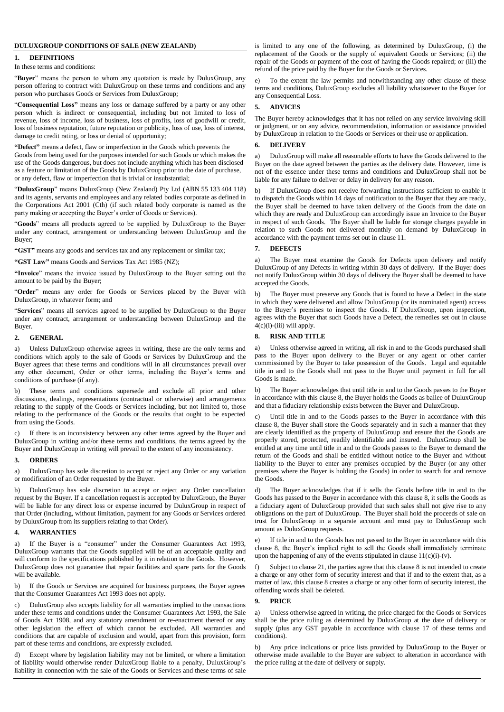## **DULUXGROUP CONDITIONS OF SALE (NEW ZEALAND)**

#### **1. DEFINITIONS**

## In these terms and conditions:

"**Buyer**" means the person to whom any quotation is made by DuluxGroup, any person offering to contract with DuluxGroup on these terms and conditions and any person who purchases Goods or Services from DuluxGroup;

"**Consequential Loss"** means any loss or damage suffered by a party or any other person which is indirect or consequential, including but not limited to loss of revenue, loss of income, loss of business, loss of profits, loss of goodwill or credit, loss of business reputation, future reputation or publicity, loss of use, loss of interest, damage to credit rating, or loss or denial of opportunity;

**"Defect"** means a defect, flaw or imperfection in the Goods which prevents the Goods from being used for the purposes intended for such Goods or which makes the use of the Goods dangerous, but does not include anything which has been disclosed as a feature or limitation of the Goods by DuluxGroup prior to the date of purchase, or any defect, flaw or imperfection that is trivial or insubstantial;

"**DuluxGroup**" means DuluxGroup (New Zealand) Pty Ltd (ABN 55 133 404 118) and its agents, servants and employees and any related bodies corporate as defined in the Corporations Act 2001 (Cth) (if such related body corporate is named as the party making or accepting the Buyer's order of Goods or Services).

"**Goods**" means all products agreed to be supplied by DuluxGroup to the Buyer under any contract, arrangement or understanding between DuluxGroup and the Buyer;

**"GST"** means any goods and services tax and any replacement or similar tax;

**"GST Law"** means Goods and Services Tax Act 1985 (NZ);

**"Invoice**" means the invoice issued by DuluxGroup to the Buyer setting out the amount to be paid by the Buyer;

"**Order**" means any order for Goods or Services placed by the Buyer with DuluxGroup, in whatever form; and

"**Services**" means all services agreed to be supplied by DuluxGroup to the Buyer under any contract, arrangement or understanding between DuluxGroup and the Buyer.

## **2. GENERAL**

a) Unless DuluxGroup otherwise agrees in writing, these are the only terms and conditions which apply to the sale of Goods or Services by DuluxGroup and the Buyer agrees that these terms and conditions will in all circumstances prevail over any other document, Order or other terms, including the Buyer's terms and conditions of purchase (if any).

b) These terms and conditions supersede and exclude all prior and other discussions, dealings, representations (contractual or otherwise) and arrangements relating to the supply of the Goods or Services including, but not limited to, those relating to the performance of the Goods or the results that ought to be expected from using the Goods.

c) If there is an inconsistency between any other terms agreed by the Buyer and DuluxGroup in writing and/or these terms and conditions, the terms agreed by the Buyer and DuluxGroup in writing will prevail to the extent of any inconsistency.

#### **3. ORDERS**

a) DuluxGroup has sole discretion to accept or reject any Order or any variation or modification of an Order requested by the Buyer.

b) DuluxGroup has sole discretion to accept or reject any Order cancellation request by the Buyer. If a cancellation request is accepted by DuluxGroup, the Buyer will be liable for any direct loss or expense incurred by DuluxGroup in respect of that Order (including, without limitation, payment for any Goods or Services ordered by DuluxGroup from its suppliers relating to that Order).

### **4. WARRANTIES**

a) If the Buyer is a "consumer" under the Consumer Guarantees Act 1993, DuluxGroup warrants that the Goods supplied will be of an acceptable quality and will conform to the specifications published by it in relation to the Goods. However, DuluxGroup does not guarantee that repair facilities and spare parts for the Goods will be available.

b) If the Goods or Services are acquired for business purposes, the Buyer agrees that the Consumer Guarantees Act 1993 does not apply.

c) DuluxGroup also accepts liability for all warranties implied to the transactions under these terms and conditions under the Consumer Guarantees Act 1993, the Sale of Goods Act 1908, and any statutory amendment or re-enactment thereof or any other legislation the effect of which cannot be excluded. All warranties and conditions that are capable of exclusion and would, apart from this provision, form part of these terms and conditions, are expressly excluded.

d) Except where by legislation liability may not be limited, or where a limitation of liability would otherwise render DuluxGroup liable to a penalty, DuluxGroup's liability in connection with the sale of the Goods or Services and these terms of sale is limited to any one of the following, as determined by DuluxGroup, (i) the replacement of the Goods or the supply of equivalent Goods or Services; (ii) the repair of the Goods or payment of the cost of having the Goods repaired; or (iii) the refund of the price paid by the Buyer for the Goods or Services.

To the extent the law permits and notwithstanding any other clause of these terms and conditions, DuluxGroup excludes all liability whatsoever to the Buyer for any Consequential Loss.

# **5. ADVICES**

The Buyer hereby acknowledges that it has not relied on any service involving skill or judgment, or on any advice, recommendation, information or assistance provided by DuluxGroup in relation to the Goods or Services or their use or application.

#### **6. DELIVERY**

a) DuluxGroup will make all reasonable efforts to have the Goods delivered to the Buyer on the date agreed between the parties as the delivery date. However, time is not of the essence under these terms and conditions and DuluxGroup shall not be liable for any failure to deliver or delay in delivery for any reason.

b) If DuluxGroup does not receive forwarding instructions sufficient to enable it to dispatch the Goods within 14 days of notification to the Buyer that they are ready, the Buyer shall be deemed to have taken delivery of the Goods from the date on which they are ready and DuluxGroup can accordingly issue an Invoice to the Buyer in respect of such Goods. The Buyer shall be liable for storage charges payable in relation to such Goods not delivered monthly on demand by DuluxGroup in accordance with the payment terms set out in clause 11.

## **7. DEFECTS**

a) The Buyer must examine the Goods for Defects upon delivery and notify DuluxGroup of any Defects in writing within 30 days of delivery. If the Buyer does not notify DuluxGroup within 30 days of delivery the Buyer shall be deemed to have accepted the Goods.

b) The Buyer must preserve any Goods that is found to have a Defect in the state in which they were delivered and allow DuluxGroup (or its nominated agent) access to the Buyer's premises to inspect the Goods. If DuluxGroup, upon inspection, agrees with the Buyer that such Goods have a Defect, the remedies set out in clause  $4(c)(i)$ -(iii) will apply.

### **8. RISK AND TITLE**

a) Unless otherwise agreed in writing, all risk in and to the Goods purchased shall pass to the Buyer upon delivery to the Buyer or any agent or other carrier commissioned by the Buyer to take possession of the Goods. Legal and equitable title in and to the Goods shall not pass to the Buyer until payment in full for all Goods is made.

b) The Buyer acknowledges that until title in and to the Goods passes to the Buyer in accordance with this clause 8, the Buyer holds the Goods as bailee of DuluxGroup and that a fiduciary relationship exists between the Buyer and DuluxGroup.

c) Until title in and to the Goods passes to the Buyer in accordance with this clause 8, the Buyer shall store the Goods separately and in such a manner that they are clearly identified as the property of DuluxGroup and ensure that the Goods are properly stored, protected, readily identifiable and insured. DuluxGroup shall be entitled at any time until title in and to the Goods passes to the Buyer to demand the return of the Goods and shall be entitled without notice to the Buyer and without liability to the Buyer to enter any premises occupied by the Buyer (or any other premises where the Buyer is holding the Goods) in order to search for and remove the Goods.

d) The Buyer acknowledges that if it sells the Goods before title in and to the Goods has passed to the Buyer in accordance with this clause 8, it sells the Goods as a fiduciary agent of DuluxGroup provided that such sales shall not give rise to any obligations on the part of DuluxGroup. The Buyer shall hold the proceeds of sale on trust for DuluxGroup in a separate account and must pay to DuluxGroup such amount as DuluxGroup requests.

If title in and to the Goods has not passed to the Buyer in accordance with this clause 8, the Buyer's implied right to sell the Goods shall immediately terminate upon the happening of any of the events stipulated in clause  $11(c)(i)-(v)$ .

f) Subject to clause 21, the parties agree that this clause 8 is not intended to create a charge or any other form of security interest and that if and to the extent that, as a matter of law, this clause 8 creates a charge or any other form of security interest, the offending words shall be deleted.

#### **9. PRICE**

a) Unless otherwise agreed in writing, the price charged for the Goods or Services shall be the price ruling as determined by DuluxGroup at the date of delivery or supply (plus any GST payable in accordance with clause 17 of these terms and conditions).

b) Any price indications or price lists provided by DuluxGroup to the Buyer or otherwise made available to the Buyer are subject to alteration in accordance with the price ruling at the date of delivery or supply.